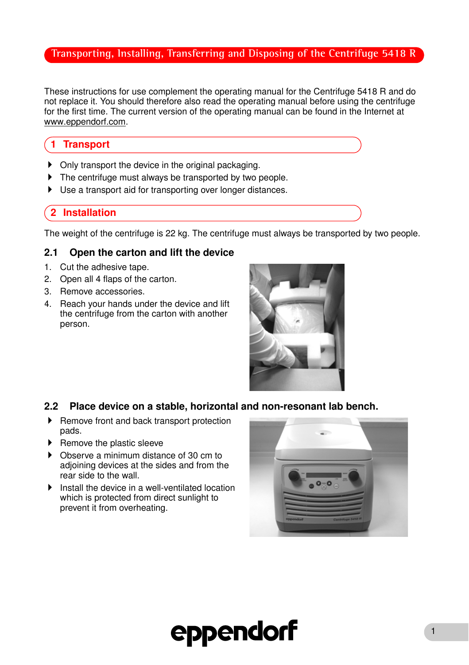# **Transporting, Installing, Transferring and Disposing of the Centrifuge 5418 R**

These instructions for use complement the operating manual for the Centrifuge 5418 R and do not replace it. You should therefore also read the operating manual before using the centrifuge for the first time. The current version of the operating manual can be found in the Internet at www.eppendorf.com.

# 1 Transport

- Only transport the device in the original packaging.
- The centrifuge must always be transported by two people.
- Use a transport aid for transporting over longer distances.

# 2 Installation

The weight of the centrifuge is 22 kg. The centrifuge must always be transported by two people.

#### 2.1 Open the carton and lift the device

- 1. Cut the adhesive tape.
- 2. Open all 4 flaps of the carton.
- 3. Remove accessories.
- 4. Reach your hands under the device and lift the centrifuge from the carton with another person.



#### 2.2 Place device on a stable, horizontal and non-resonant lab bench.

- ▶ Remove front and back transport protection pads.
- $\blacktriangleright$  Remove the plastic sleeve
- ▶ Observe a minimum distance of 30 cm to adjoining devices at the sides and from the rear side to the wall.
- $\blacktriangleright$  Install the device in a well-ventilated location which is protected from direct sunlight to prevent it from overheating.



# eppendorf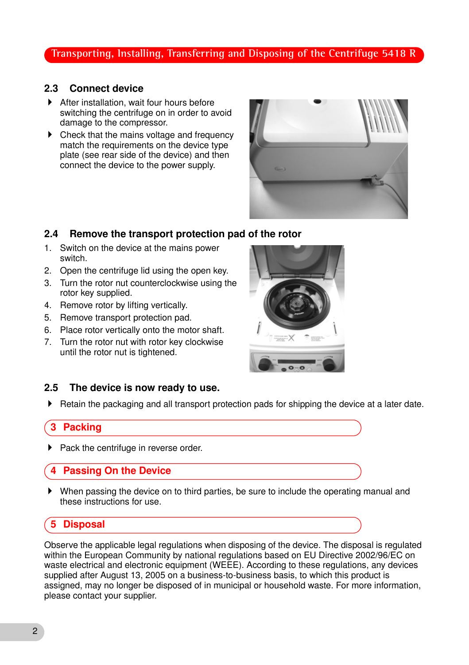## **Transporting, Installing, Transferring and Disposing of the Centrifuge 5418 R**

### 2.3 Connect device

- ▶ After installation, wait four hours before switching the centrifuge on in order to avoid damage to the compressor.
- ▶ Check that the mains voltage and frequency match the requirements on the device type plate (see rear side of the device) and then connect the device to the power supply.



#### 2.4 Remove the transport protection pad of the rotor

- 1. Switch on the device at the mains power switch.
- 2. Open the centrifuge lid using the open key.
- 3. Turn the rotor nut counterclockwise using the rotor key supplied.
- 4. Remove rotor by lifting vertically.
- 5. Remove transport protection pad.
- 6. Place rotor vertically onto the motor shaft.
- 7. Turn the rotor nut with rotor key clockwise until the rotor nut is tightened.



#### 2.5 The device is now ready to use.

 $\blacktriangleright$  Retain the packaging and all transport protection pads for shipping the device at a later date.

# 3 Packing

Pack the centrifuge in reverse order.

#### 4 Passing On the Device

 When passing the device on to third parties, be sure to include the operating manual and these instructions for use.

#### 5 Disposal

Observe the applicable legal regulations when disposing of the device. The disposal is regulated within the European Community by national regulations based on EU Directive 2002/96/EC on waste electrical and electronic equipment (WEEE). According to these regulations, any devices supplied after August 13, 2005 on a business-to-business basis, to which this product is assigned, may no longer be disposed of in municipal or household waste. For more information, please contact your supplier.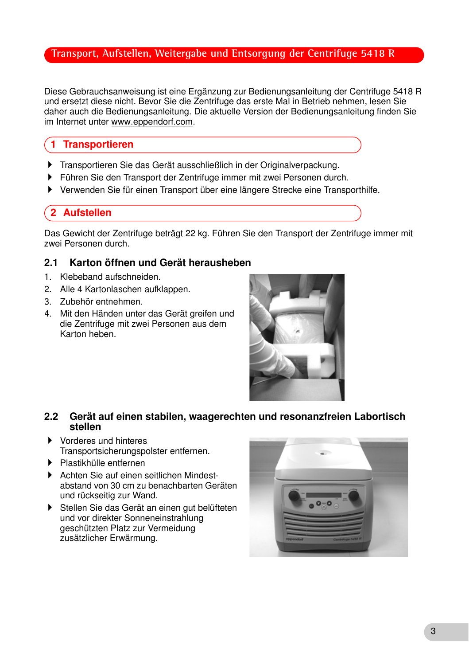## **Transport, Aufstellen, Weitergabe und Entsorgung der Centrifuge 5418 R**

Diese Gebrauchsanweisung ist eine Ergänzung zur Bedienungsanleitung der Centrifuge 5418 R und ersetzt diese nicht. Bevor Sie die Zentrifuge das erste Mal in Betrieb nehmen, lesen Sie daher auch die Bedienungsanleitung. Die aktuelle Version der Bedienungsanleitung finden Sie im Internet unter www.eppendorf.com.

# 1 Transportieren

- Transportieren Sie das Gerät ausschließlich in der Originalverpackung.
- Führen Sie den Transport der Zentrifuge immer mit zwei Personen durch.
- Verwenden Sie für einen Transport über eine längere Strecke eine Transporthilfe.

# 2 Aufstellen

Das Gewicht der Zentrifuge beträgt 22 kg. Führen Sie den Transport der Zentrifuge immer mit zwei Personen durch.

#### 2.1 Karton öffnen und Gerät herausheben

- 1. Klebeband aufschneiden.
- 2. Alle 4 Kartonlaschen aufklappen.
- 3. Zubehör entnehmen.
- 4. Mit den Händen unter das Gerät greifen und die Zentrifuge mit zwei Personen aus dem Karton heben.



#### 2.2 Gerät auf einen stabilen, waagerechten und resonanzfreien Labortisch stellen

- ▶ Vorderes und hinteres Transportsicherungspolster entfernen.
- Plastikhülle entfernen
- Achten Sie auf einen seitlichen Mindestabstand von 30 cm zu benachbarten Geräten und rückseitig zur Wand.
- Stellen Sie das Gerät an einen gut belüfteten und vor direkter Sonneneinstrahlung geschützten Platz zur Vermeidung zusätzlicher Erwärmung.